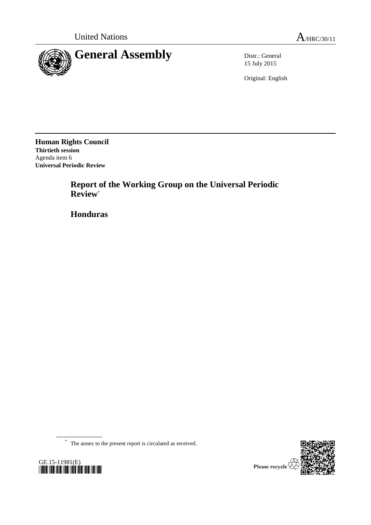

15 July 2015

Original: English

**Human Rights Council Thirtieth session** Agenda item 6 **Universal Periodic Review**

> **Report of the Working Group on the Universal Periodic Review**\*

**Honduras**

\* The annex to the present report is circulated as received.



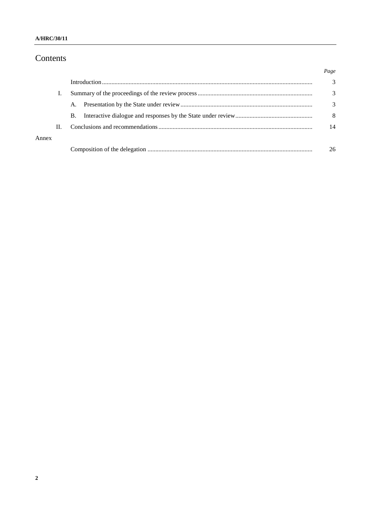# Contents

|       |    |    |  | Page |
|-------|----|----|--|------|
|       |    |    |  | 3    |
|       |    |    |  | 3    |
|       |    | A. |  | 3    |
|       |    | B. |  | 8    |
|       | П. |    |  | 14   |
| Annex |    |    |  |      |
|       |    |    |  | 26   |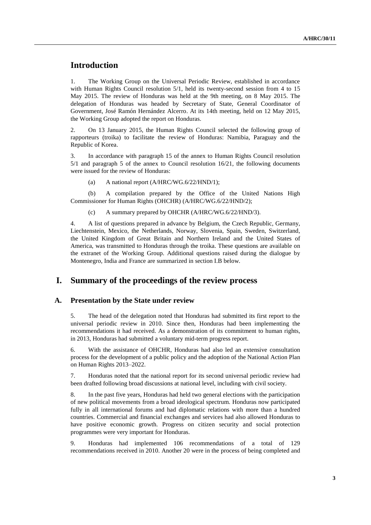## **Introduction**

1. The Working Group on the Universal Periodic Review, established in accordance with Human Rights Council resolution 5/1, held its twenty-second session from 4 to 15 May 2015. The review of Honduras was held at the 9th meeting, on 8 May 2015. The delegation of Honduras was headed by Secretary of State, General Coordinator of Government, José Ramón Hernández Alcerro. At its 14th meeting, held on 12 May 2015, the Working Group adopted the report on Honduras.

2. On 13 January 2015, the Human Rights Council selected the following group of rapporteurs (troika) to facilitate the review of Honduras: Namibia, Paraguay and the Republic of Korea.

3. In accordance with paragraph 15 of the annex to Human Rights Council resolution 5/1 and paragraph 5 of the annex to Council resolution 16/21, the following documents were issued for the review of Honduras:

(a) A national report (A/HRC/WG.6/22/HND/1);

(b) A compilation prepared by the Office of the United Nations High Commissioner for Human Rights (OHCHR) (A/HRC/WG.6/22/HND/2);

(c) A summary prepared by OHCHR (A/HRC/WG.6/22/HND/3).

4. A list of questions prepared in advance by Belgium, the Czech Republic, Germany, Liechtenstein, Mexico, the Netherlands, Norway, Slovenia, Spain, Sweden, Switzerland, the United Kingdom of Great Britain and Northern Ireland and the United States of America, was transmitted to Honduras through the troika. These questions are available on the extranet of the Working Group. Additional questions raised during the dialogue by Montenegro, India and France are summarized in section I.B below.

### **I. Summary of the proceedings of the review process**

#### **A. Presentation by the State under review**

5. The head of the delegation noted that Honduras had submitted its first report to the universal periodic review in 2010. Since then, Honduras had been implementing the recommendations it had received. As a demonstration of its commitment to human rights, in 2013, Honduras had submitted a voluntary mid-term progress report.

6. With the assistance of OHCHR, Honduras had also led an extensive consultation process for the development of a public policy and the adoption of the National Action Plan on Human Rights 2013–2022.

7. Honduras noted that the national report for its second universal periodic review had been drafted following broad discussions at national level, including with civil society.

8. In the past five years, Honduras had held two general elections with the participation of new political movements from a broad ideological spectrum. Honduras now participated fully in all international forums and had diplomatic relations with more than a hundred countries. Commercial and financial exchanges and services had also allowed Honduras to have positive economic growth. Progress on citizen security and social protection programmes were very important for Honduras.

9. Honduras had implemented 106 recommendations of a total of 129 recommendations received in 2010. Another 20 were in the process of being completed and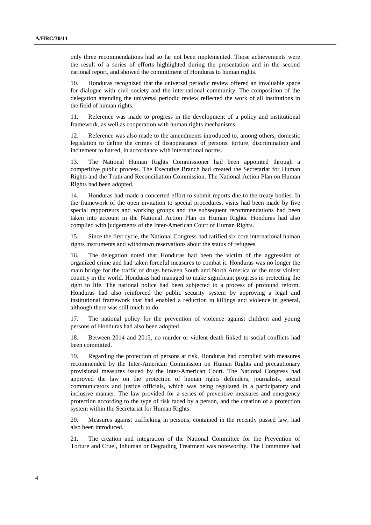only three recommendations had so far not been implemented. Those achievements were the result of a series of efforts highlighted during the presentation and in the second national report, and showed the commitment of Honduras to human rights.

10. Honduras recognized that the universal periodic review offered an invaluable space for dialogue with civil society and the international community. The composition of the delegation attending the universal periodic review reflected the work of all institutions in the field of human rights.

11. Reference was made to progress in the development of a policy and institutional framework, as well as cooperation with human rights mechanisms.

12. Reference was also made to the amendments introduced to, among others, domestic legislation to define the crimes of disappearance of persons, torture, discrimination and incitement to hatred, in accordance with international norms.

13. The National Human Rights Commissioner had been appointed through a competitive public process. The Executive Branch had created the Secretariat for Human Rights and the Truth and Reconciliation Commission. The National Action Plan on Human Rights had been adopted.

14. Honduras had made a concerted effort to submit reports due to the treaty bodies. In the framework of the open invitation to special procedures, visits had been made by five special rapporteurs and working groups and the subsequent recommendations had been taken into account in the National Action Plan on Human Rights. Honduras had also complied with judgements of the Inter-American Court of Human Rights.

15. Since the first cycle, the National Congress had ratified six core international human rights instruments and withdrawn reservations about the status of refugees.

16. The delegation noted that Honduras had been the victim of the aggression of organized crime and had taken forceful measures to combat it. Honduras was no longer the main bridge for the traffic of drugs between South and North America or the most violent country in the world. Honduras had managed to make significant progress in protecting the right to life. The national police had been subjected to a process of profound reform. Honduras had also reinforced the public security system by approving a legal and institutional framework that had enabled a reduction in killings and violence in general, although there was still much to do.

17. The national policy for the prevention of violence against children and young persons of Honduras had also been adopted.

18. Between 2014 and 2015, no murder or violent death linked to social conflicts had been committed.

19. Regarding the protection of persons at risk, Honduras had complied with measures recommended by the Inter-American Commission on Human Rights and precautionary provisional measures issued by the Inter-American Court. The National Congress had approved the law on the protection of human rights defenders, journalists, social communicators and justice officials, which was being regulated in a participatory and inclusive manner. The law provided for a series of preventive measures and emergency protection according to the type of risk faced by a person, and the creation of a protection system within the Secretariat for Human Rights.

20. Measures against trafficking in persons, contained in the recently passed law, had also been introduced.

21. The creation and integration of the National Committee for the Prevention of Torture and Cruel, Inhuman or Degrading Treatment was noteworthy. The Committee had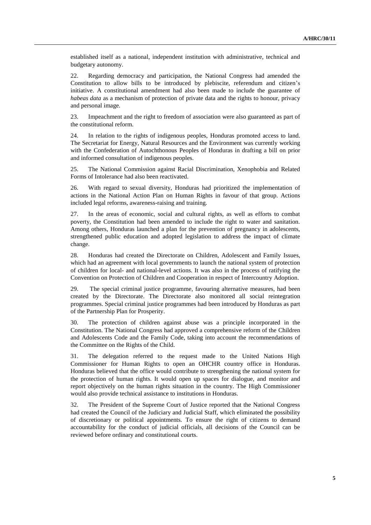established itself as a national, independent institution with administrative, technical and budgetary autonomy.

22. Regarding democracy and participation, the National Congress had amended the Constitution to allow bills to be introduced by plebiscite, referendum and citizen's initiative. A constitutional amendment had also been made to include the guarantee of *habeas data* as a mechanism of protection of private data and the rights to honour, privacy and personal image.

23. Impeachment and the right to freedom of association were also guaranteed as part of the constitutional reform.

24. In relation to the rights of indigenous peoples, Honduras promoted access to land. The Secretariat for Energy, Natural Resources and the Environment was currently working with the Confederation of Autochthonous Peoples of Honduras in drafting a bill on prior and informed consultation of indigenous peoples.

25. The National Commission against Racial Discrimination, Xenophobia and Related Forms of Intolerance had also been reactivated.

26. With regard to sexual diversity, Honduras had prioritized the implementation of actions in the National Action Plan on Human Rights in favour of that group. Actions included legal reforms, awareness-raising and training.

27. In the areas of economic, social and cultural rights, as well as efforts to combat poverty, the Constitution had been amended to include the right to water and sanitation. Among others, Honduras launched a plan for the prevention of pregnancy in adolescents, strengthened public education and adopted legislation to address the impact of climate change.

28. Honduras had created the Directorate on Children, Adolescent and Family Issues, which had an agreement with local governments to launch the national system of protection of children for local- and national-level actions. It was also in the process of ratifying the Convention on Protection of Children and Cooperation in respect of Intercountry Adoption.

29. The special criminal justice programme, favouring alternative measures, had been created by the Directorate. The Directorate also monitored all social reintegration programmes. Special criminal justice programmes had been introduced by Honduras as part of the Partnership Plan for Prosperity.

30. The protection of children against abuse was a principle incorporated in the Constitution. The National Congress had approved a comprehensive reform of the Children and Adolescents Code and the Family Code, taking into account the recommendations of the Committee on the Rights of the Child.

31. The delegation referred to the request made to the United Nations High Commissioner for Human Rights to open an OHCHR country office in Honduras. Honduras believed that the office would contribute to strengthening the national system for the protection of human rights. It would open up spaces for dialogue, and monitor and report objectively on the human rights situation in the country. The High Commissioner would also provide technical assistance to institutions in Honduras.

32. The President of the Supreme Court of Justice reported that the National Congress had created the Council of the Judiciary and Judicial Staff, which eliminated the possibility of discretionary or political appointments. To ensure the right of citizens to demand accountability for the conduct of judicial officials, all decisions of the Council can be reviewed before ordinary and constitutional courts.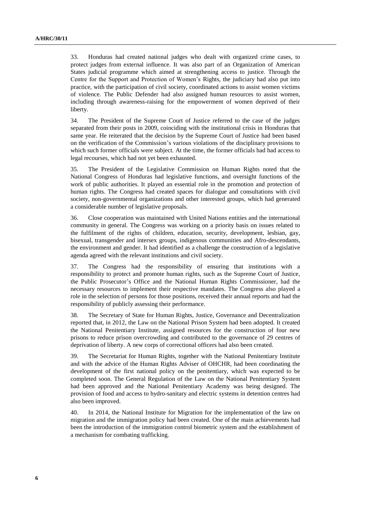33. Honduras had created national judges who dealt with organized crime cases, to protect judges from external influence. It was also part of an Organization of American States judicial programme which aimed at strengthening access to justice. Through the Centre for the Support and Protection of Women's Rights, the judiciary had also put into practice, with the participation of civil society, coordinated actions to assist women victims of violence. The Public Defender had also assigned human resources to assist women, including through awareness-raising for the empowerment of women deprived of their liberty.

34. The President of the Supreme Court of Justice referred to the case of the judges separated from their posts in 2009, coinciding with the institutional crisis in Honduras that same year. He reiterated that the decision by the Supreme Court of Justice had been based on the verification of the Commission's various violations of the disciplinary provisions to which such former officials were subject. At the time, the former officials had had access to legal recourses, which had not yet been exhausted.

35. The President of the Legislative Commission on Human Rights noted that the National Congress of Honduras had legislative functions, and oversight functions of the work of public authorities. It played an essential role in the promotion and protection of human rights. The Congress had created spaces for dialogue and consultations with civil society, non-governmental organizations and other interested groups, which had generated a considerable number of legislative proposals.

36. Close cooperation was maintained with United Nations entities and the international community in general. The Congress was working on a priority basis on issues related to the fulfilment of the rights of children, education, security, development, lesbian, gay, bisexual, transgender and intersex groups, indigenous communities and Afro-descendants, the environment and gender. It had identified as a challenge the construction of a legislative agenda agreed with the relevant institutions and civil society.

37. The Congress had the responsibility of ensuring that institutions with a responsibility to protect and promote human rights, such as the Supreme Court of Justice, the Public Prosecutor's Office and the National Human Rights Commissioner, had the necessary resources to implement their respective mandates. The Congress also played a role in the selection of persons for those positions, received their annual reports and had the responsibility of publicly assessing their performance.

38. The Secretary of State for Human Rights, Justice, Governance and Decentralization reported that, in 2012, the Law on the National Prison System had been adopted. It created the National Penitentiary Institute, assigned resources for the construction of four new prisons to reduce prison overcrowding and contributed to the governance of 29 centres of deprivation of liberty. A new corps of correctional officers had also been created.

39. The Secretariat for Human Rights, together with the National Penitentiary Institute and with the advice of the Human Rights Adviser of OHCHR, had been coordinating the development of the first national policy on the penitentiary, which was expected to be completed soon. The General Regulation of the Law on the National Penitentiary System had been approved and the National Penitentiary Academy was being designed. The provision of food and access to hydro-sanitary and electric systems in detention centres had also been improved.

40. In 2014, the National Institute for Migration for the implementation of the law on migration and the immigration policy had been created. One of the main achievements had been the introduction of the immigration control biometric system and the establishment of a mechanism for combating trafficking.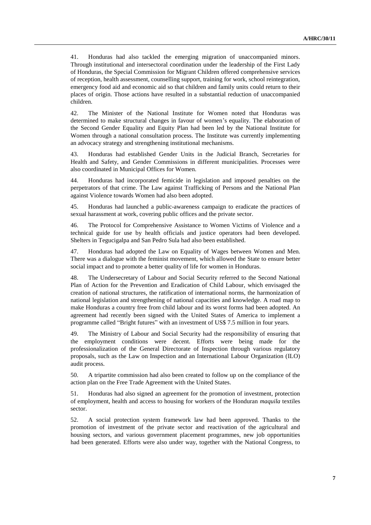41. Honduras had also tackled the emerging migration of unaccompanied minors. Through institutional and intersectoral coordination under the leadership of the First Lady of Honduras, the Special Commission for Migrant Children offered comprehensive services of reception, health assessment, counselling support, training for work, school reintegration, emergency food aid and economic aid so that children and family units could return to their places of origin. Those actions have resulted in a substantial reduction of unaccompanied children.

42. The Minister of the National Institute for Women noted that Honduras was determined to make structural changes in favour of women's equality. The elaboration of the Second Gender Equality and Equity Plan had been led by the National Institute for Women through a national consultation process. The Institute was currently implementing an advocacy strategy and strengthening institutional mechanisms.

43. Honduras had established Gender Units in the Judicial Branch, Secretaries for Health and Safety, and Gender Commissions in different municipalities. Processes were also coordinated in Municipal Offices for Women.

44. Honduras had incorporated femicide in legislation and imposed penalties on the perpetrators of that crime. The Law against Trafficking of Persons and the National Plan against Violence towards Women had also been adopted.

45. Honduras had launched a public-awareness campaign to eradicate the practices of sexual harassment at work, covering public offices and the private sector.

46. The Protocol for Comprehensive Assistance to Women Victims of Violence and a technical guide for use by health officials and justice operators had been developed. Shelters in Tegucigalpa and San Pedro Sula had also been established.

47. Honduras had adopted the Law on Equality of Wages between Women and Men. There was a dialogue with the feminist movement, which allowed the State to ensure better social impact and to promote a better quality of life for women in Honduras.

48. The Undersecretary of Labour and Social Security referred to the Second National Plan of Action for the Prevention and Eradication of Child Labour, which envisaged the creation of national structures, the ratification of international norms, the harmonization of national legislation and strengthening of national capacities and knowledge. A road map to make Honduras a country free from child labour and its worst forms had been adopted. An agreement had recently been signed with the United States of America to implement a programme called "Bright futures" with an investment of US\$ 7.5 million in four years.

49. The Ministry of Labour and Social Security had the responsibility of ensuring that the employment conditions were decent. Efforts were being made for the professionalization of the General Directorate of Inspection through various regulatory proposals, such as the Law on Inspection and an International Labour Organization (ILO) audit process.

50. A tripartite commission had also been created to follow up on the compliance of the action plan on the Free Trade Agreement with the United States.

51. Honduras had also signed an agreement for the promotion of investment, protection of employment, health and access to housing for workers of the Honduran *maquila* textiles sector.

52. A social protection system framework law had been approved. Thanks to the promotion of investment of the private sector and reactivation of the agricultural and housing sectors, and various government placement programmes, new job opportunities had been generated. Efforts were also under way, together with the National Congress, to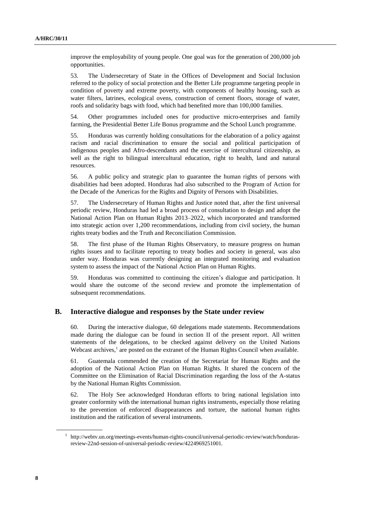improve the employability of young people. One goal was for the generation of 200,000 job opportunities.

53. The Undersecretary of State in the Offices of Development and Social Inclusion referred to the policy of social protection and the Better Life programme targeting people in condition of poverty and extreme poverty, with components of healthy housing, such as water filters, latrines, ecological ovens, construction of cement floors, storage of water, roofs and solidarity bags with food, which had benefited more than 100,000 families.

54. Other programmes included ones for productive micro-enterprises and family farming, the Presidential Better Life Bonus programme and the School Lunch programme.

55. Honduras was currently holding consultations for the elaboration of a policy against racism and racial discrimination to ensure the social and political participation of indigenous peoples and Afro-descendants and the exercise of intercultural citizenship, as well as the right to bilingual intercultural education, right to health, land and natural resources.

56. A public policy and strategic plan to guarantee the human rights of persons with disabilities had been adopted. Honduras had also subscribed to the Program of Action for the Decade of the Americas for the Rights and Dignity of Persons with Disabilities.

57. The Undersecretary of Human Rights and Justice noted that, after the first universal periodic review, Honduras had led a broad process of consultation to design and adopt the National Action Plan on Human Rights 2013–2022, which incorporated and transformed into strategic action over 1,200 recommendations, including from civil society, the human rights treaty bodies and the Truth and Reconciliation Commission.

58. The first phase of the Human Rights Observatory, to measure progress on human rights issues and to facilitate reporting to treaty bodies and society in general, was also under way. Honduras was currently designing an integrated monitoring and evaluation system to assess the impact of the National Action Plan on Human Rights.

59. Honduras was committed to continuing the citizen's dialogue and participation. It would share the outcome of the second review and promote the implementation of subsequent recommendations.

#### **B. Interactive dialogue and responses by the State under review**

60. During the interactive dialogue, 60 delegations made statements. Recommendations made during the dialogue can be found in section II of the present report. All written statements of the delegations, to be checked against delivery on the United Nations Webcast archives,<sup>1</sup> are posted on the extranet of the Human Rights Council when available.

61. Guatemala commended the creation of the Secretariat for Human Rights and the adoption of the National Action Plan on Human Rights. It shared the concern of the Committee on the Elimination of Racial Discrimination regarding the loss of the A-status by the National Human Rights Commission.

62. The Holy See acknowledged Honduran efforts to bring national legislation into greater conformity with the international human rights instruments, especially those relating to the prevention of enforced disappearances and torture, the national human rights institution and the ratification of several instruments.

<sup>&</sup>lt;sup>1</sup> http://webtv.un.org/meetings-events/human-rights-council/universal-periodic-review/watch/hondurasreview-22nd-session-of-universal-periodic-review/4224969251001.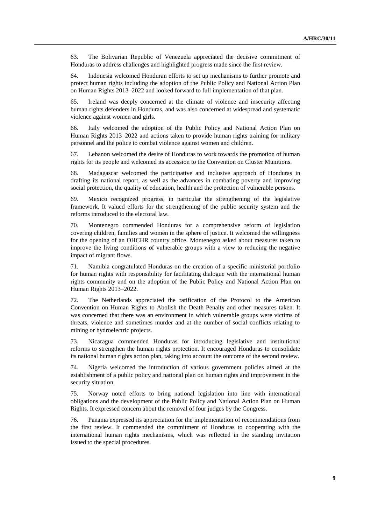63. The Bolivarian Republic of Venezuela appreciated the decisive commitment of Honduras to address challenges and highlighted progress made since the first review.

64. Indonesia welcomed Honduran efforts to set up mechanisms to further promote and protect human rights including the adoption of the Public Policy and National Action Plan on Human Rights 2013–2022 and looked forward to full implementation of that plan.

65. Ireland was deeply concerned at the climate of violence and insecurity affecting human rights defenders in Honduras, and was also concerned at widespread and systematic violence against women and girls.

66. Italy welcomed the adoption of the Public Policy and National Action Plan on Human Rights 2013–2022 and actions taken to provide human rights training for military personnel and the police to combat violence against women and children.

67. Lebanon welcomed the desire of Honduras to work towards the promotion of human rights for its people and welcomed its accession to the Convention on Cluster Munitions.

68. Madagascar welcomed the participative and inclusive approach of Honduras in drafting its national report, as well as the advances in combating poverty and improving social protection, the quality of education, health and the protection of vulnerable persons.

69. Mexico recognized progress, in particular the strengthening of the legislative framework. It valued efforts for the strengthening of the public security system and the reforms introduced to the electoral law.

70. Montenegro commended Honduras for a comprehensive reform of legislation covering children, families and women in the sphere of justice. It welcomed the willingness for the opening of an OHCHR country office. Montenegro asked about measures taken to improve the living conditions of vulnerable groups with a view to reducing the negative impact of migrant flows.

71. Namibia congratulated Honduras on the creation of a specific ministerial portfolio for human rights with responsibility for facilitating dialogue with the international human rights community and on the adoption of the Public Policy and National Action Plan on Human Rights 2013–2022.

72. The Netherlands appreciated the ratification of the Protocol to the American Convention on Human Rights to Abolish the Death Penalty and other measures taken. It was concerned that there was an environment in which vulnerable groups were victims of threats, violence and sometimes murder and at the number of social conflicts relating to mining or hydroelectric projects.

73. Nicaragua commended Honduras for introducing legislative and institutional reforms to strengthen the human rights protection. It encouraged Honduras to consolidate its national human rights action plan, taking into account the outcome of the second review.

74. Nigeria welcomed the introduction of various government policies aimed at the establishment of a public policy and national plan on human rights and improvement in the security situation.

75. Norway noted efforts to bring national legislation into line with international obligations and the development of the Public Policy and National Action Plan on Human Rights. It expressed concern about the removal of four judges by the Congress.

76. Panama expressed its appreciation for the implementation of recommendations from the first review. It commended the commitment of Honduras to cooperating with the international human rights mechanisms, which was reflected in the standing invitation issued to the special procedures.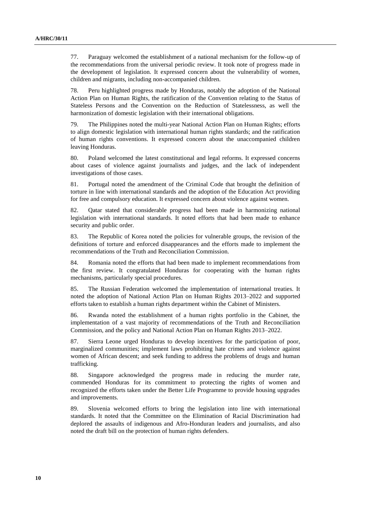77. Paraguay welcomed the establishment of a national mechanism for the follow-up of the recommendations from the universal periodic review. It took note of progress made in the development of legislation. It expressed concern about the vulnerability of women, children and migrants, including non-accompanied children.

78. Peru highlighted progress made by Honduras, notably the adoption of the National Action Plan on Human Rights, the ratification of the Convention relating to the Status of Stateless Persons and the Convention on the Reduction of Statelessness, as well the harmonization of domestic legislation with their international obligations.

79. The Philippines noted the multi-year National Action Plan on Human Rights; efforts to align domestic legislation with international human rights standards; and the ratification of human rights conventions. It expressed concern about the unaccompanied children leaving Honduras.

80. Poland welcomed the latest constitutional and legal reforms. It expressed concerns about cases of violence against journalists and judges, and the lack of independent investigations of those cases.

81. Portugal noted the amendment of the Criminal Code that brought the definition of torture in line with international standards and the adoption of the Education Act providing for free and compulsory education. It expressed concern about violence against women.

82. Qatar stated that considerable progress had been made in harmonizing national legislation with international standards. It noted efforts that had been made to enhance security and public order.

83. The Republic of Korea noted the policies for vulnerable groups, the revision of the definitions of torture and enforced disappearances and the efforts made to implement the recommendations of the Truth and Reconciliation Commission.

84. Romania noted the efforts that had been made to implement recommendations from the first review. It congratulated Honduras for cooperating with the human rights mechanisms, particularly special procedures.

85. The Russian Federation welcomed the implementation of international treaties. It noted the adoption of National Action Plan on Human Rights 2013–2022 and supported efforts taken to establish a human rights department within the Cabinet of Ministers.

86. Rwanda noted the establishment of a human rights portfolio in the Cabinet, the implementation of a vast majority of recommendations of the Truth and Reconciliation Commission, and the policy and National Action Plan on Human Rights 2013–2022.

87. Sierra Leone urged Honduras to develop incentives for the participation of poor, marginalized communities; implement laws prohibiting hate crimes and violence against women of African descent; and seek funding to address the problems of drugs and human trafficking.

88. Singapore acknowledged the progress made in reducing the murder rate, commended Honduras for its commitment to protecting the rights of women and recognized the efforts taken under the Better Life Programme to provide housing upgrades and improvements.

89. Slovenia welcomed efforts to bring the legislation into line with international standards. It noted that the Committee on the Elimination of Racial Discrimination had deplored the assaults of indigenous and Afro-Honduran leaders and journalists, and also noted the draft bill on the protection of human rights defenders.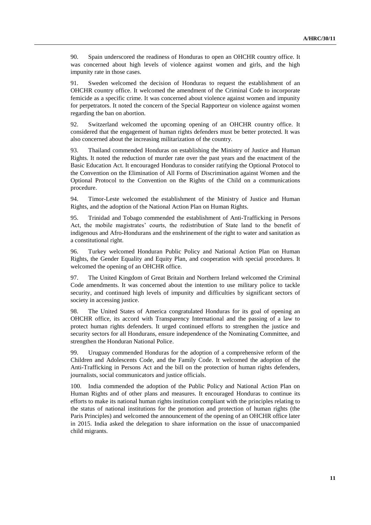90. Spain underscored the readiness of Honduras to open an OHCHR country office. It was concerned about high levels of violence against women and girls, and the high impunity rate in those cases.

91. Sweden welcomed the decision of Honduras to request the establishment of an OHCHR country office. It welcomed the amendment of the Criminal Code to incorporate femicide as a specific crime. It was concerned about violence against women and impunity for perpetrators. It noted the concern of the Special Rapporteur on violence against women regarding the ban on abortion.

92. Switzerland welcomed the upcoming opening of an OHCHR country office. It considered that the engagement of human rights defenders must be better protected. It was also concerned about the increasing militarization of the country.

93. Thailand commended Honduras on establishing the Ministry of Justice and Human Rights. It noted the reduction of murder rate over the past years and the enactment of the Basic Education Act. It encouraged Honduras to consider ratifying the Optional Protocol to the Convention on the Elimination of All Forms of Discrimination against Women and the Optional Protocol to the Convention on the Rights of the Child on a communications procedure.

94. Timor-Leste welcomed the establishment of the Ministry of Justice and Human Rights, and the adoption of the National Action Plan on Human Rights.

95. Trinidad and Tobago commended the establishment of Anti-Trafficking in Persons Act, the mobile magistrates' courts, the redistribution of State land to the benefit of indigenous and Afro-Hondurans and the enshrinement of the right to water and sanitation as a constitutional right.

96. Turkey welcomed Honduran Public Policy and National Action Plan on Human Rights, the Gender Equality and Equity Plan, and cooperation with special procedures. It welcomed the opening of an OHCHR office.

97. The United Kingdom of Great Britain and Northern Ireland welcomed the Criminal Code amendments. It was concerned about the intention to use military police to tackle security, and continued high levels of impunity and difficulties by significant sectors of society in accessing justice.

98. The United States of America congratulated Honduras for its goal of opening an OHCHR office, its accord with Transparency International and the passing of a law to protect human rights defenders. It urged continued efforts to strengthen the justice and security sectors for all Hondurans, ensure independence of the Nominating Committee, and strengthen the Honduran National Police.

99. Uruguay commended Honduras for the adoption of a comprehensive reform of the Children and Adolescents Code, and the Family Code. It welcomed the adoption of the Anti-Trafficking in Persons Act and the bill on the protection of human rights defenders, journalists, social communicators and justice officials.

100. India commended the adoption of the Public Policy and National Action Plan on Human Rights and of other plans and measures. It encouraged Honduras to continue its efforts to make its national human rights institution compliant with the principles relating to the status of national institutions for the promotion and protection of human rights (the Paris Principles) and welcomed the announcement of the opening of an OHCHR office later in 2015. India asked the delegation to share information on the issue of unaccompanied child migrants.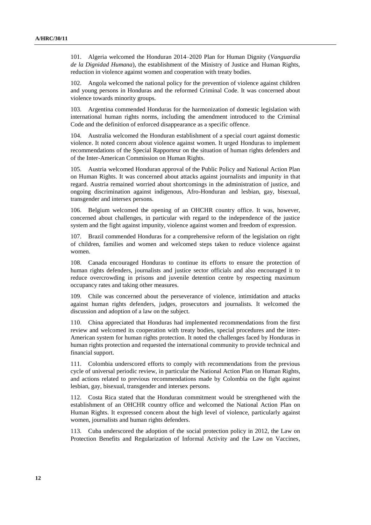101. Algeria welcomed the Honduran 2014–2020 Plan for Human Dignity (*Vanguardia de la Dignidad Humana*), the establishment of the Ministry of Justice and Human Rights, reduction in violence against women and cooperation with treaty bodies.

102. Angola welcomed the national policy for the prevention of violence against children and young persons in Honduras and the reformed Criminal Code. It was concerned about violence towards minority groups.

103. Argentina commended Honduras for the harmonization of domestic legislation with international human rights norms, including the amendment introduced to the Criminal Code and the definition of enforced disappearance as a specific offence.

104. Australia welcomed the Honduran establishment of a special court against domestic violence. It noted concern about violence against women. It urged Honduras to implement recommendations of the Special Rapporteur on the situation of human rights defenders and of the Inter-American Commission on Human Rights.

105. Austria welcomed Honduran approval of the Public Policy and National Action Plan on Human Rights. It was concerned about attacks against journalists and impunity in that regard. Austria remained worried about shortcomings in the administration of justice, and ongoing discrimination against indigenous, Afro-Honduran and lesbian, gay, bisexual, transgender and intersex persons.

106. Belgium welcomed the opening of an OHCHR country office. It was, however, concerned about challenges, in particular with regard to the independence of the justice system and the fight against impunity, violence against women and freedom of expression.

107. Brazil commended Honduras for a comprehensive reform of the legislation on right of children, families and women and welcomed steps taken to reduce violence against women.

108. Canada encouraged Honduras to continue its efforts to ensure the protection of human rights defenders, journalists and justice sector officials and also encouraged it to reduce overcrowding in prisons and juvenile detention centre by respecting maximum occupancy rates and taking other measures.

109. Chile was concerned about the perseverance of violence, intimidation and attacks against human rights defenders, judges, prosecutors and journalists. It welcomed the discussion and adoption of a law on the subject.

110. China appreciated that Honduras had implemented recommendations from the first review and welcomed its cooperation with treaty bodies, special procedures and the inter-American system for human rights protection. It noted the challenges faced by Honduras in human rights protection and requested the international community to provide technical and financial support.

111. Colombia underscored efforts to comply with recommendations from the previous cycle of universal periodic review, in particular the National Action Plan on Human Rights, and actions related to previous recommendations made by Colombia on the fight against lesbian, gay, bisexual, transgender and intersex persons.

112. Costa Rica stated that the Honduran commitment would be strengthened with the establishment of an OHCHR country office and welcomed the National Action Plan on Human Rights. It expressed concern about the high level of violence, particularly against women, journalists and human rights defenders.

113. Cuba underscored the adoption of the social protection policy in 2012, the Law on Protection Benefits and Regularization of Informal Activity and the Law on Vaccines,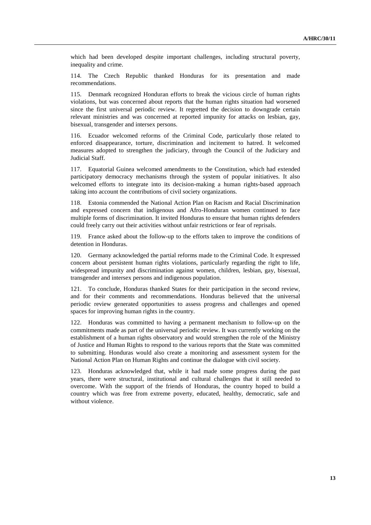which had been developed despite important challenges, including structural poverty, inequality and crime.

114. The Czech Republic thanked Honduras for its presentation and made recommendations.

115. Denmark recognized Honduran efforts to break the vicious circle of human rights violations, but was concerned about reports that the human rights situation had worsened since the first universal periodic review. It regretted the decision to downgrade certain relevant ministries and was concerned at reported impunity for attacks on lesbian, gay, bisexual, transgender and intersex persons.

116. Ecuador welcomed reforms of the Criminal Code, particularly those related to enforced disappearance, torture, discrimination and incitement to hatred. It welcomed measures adopted to strengthen the judiciary, through the Council of the Judiciary and Judicial Staff.

117. Equatorial Guinea welcomed amendments to the Constitution, which had extended participatory democracy mechanisms through the system of popular initiatives. It also welcomed efforts to integrate into its decision-making a human rights-based approach taking into account the contributions of civil society organizations.

118. Estonia commended the National Action Plan on Racism and Racial Discrimination and expressed concern that indigenous and Afro-Honduran women continued to face multiple forms of discrimination. It invited Honduras to ensure that human rights defenders could freely carry out their activities without unfair restrictions or fear of reprisals.

119. France asked about the follow-up to the efforts taken to improve the conditions of detention in Honduras.

120. Germany acknowledged the partial reforms made to the Criminal Code. It expressed concern about persistent human rights violations, particularly regarding the right to life, widespread impunity and discrimination against women, children, lesbian, gay, bisexual, transgender and intersex persons and indigenous population.

121. To conclude, Honduras thanked States for their participation in the second review, and for their comments and recommendations. Honduras believed that the universal periodic review generated opportunities to assess progress and challenges and opened spaces for improving human rights in the country.

122. Honduras was committed to having a permanent mechanism to follow-up on the commitments made as part of the universal periodic review. It was currently working on the establishment of a human rights observatory and would strengthen the role of the Ministry of Justice and Human Rights to respond to the various reports that the State was committed to submitting. Honduras would also create a monitoring and assessment system for the National Action Plan on Human Rights and continue the dialogue with civil society.

123. Honduras acknowledged that, while it had made some progress during the past years, there were structural, institutional and cultural challenges that it still needed to overcome. With the support of the friends of Honduras, the country hoped to build a country which was free from extreme poverty, educated, healthy, democratic, safe and without violence.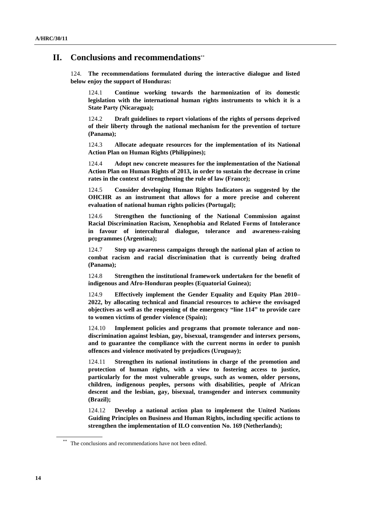### **II. Conclusions and recommendations**

124. **The recommendations formulated during the interactive dialogue and listed below enjoy the support of Honduras:**

124.1 **Continue working towards the harmonization of its domestic legislation with the international human rights instruments to which it is a State Party (Nicaragua);**

124.2 **Draft guidelines to report violations of the rights of persons deprived of their liberty through the national mechanism for the prevention of torture (Panama);**

124.3 **Allocate adequate resources for the implementation of its National Action Plan on Human Rights (Philippines);**

124.4 **Adopt new concrete measures for the implementation of the National Action Plan on Human Rights of 2013, in order to sustain the decrease in crime rates in the context of strengthening the rule of law (France);**

124.5 **Consider developing Human Rights Indicators as suggested by the OHCHR as an instrument that allows for a more precise and coherent evaluation of national human rights policies (Portugal);**

124.6 **Strengthen the functioning of the National Commission against Racial Discrimination Racism, Xenophobia and Related Forms of Intolerance in favour of intercultural dialogue, tolerance and awareness-raising programmes (Argentina);**

124.7 **Step up awareness campaigns through the national plan of action to combat racism and racial discrimination that is currently being drafted (Panama);**

124.8 **Strengthen the institutional framework undertaken for the benefit of indigenous and Afro-Honduran peoples (Equatorial Guinea);**

124.9 **Effectively implement the Gender Equality and Equity Plan 2010– 2022, by allocating technical and financial resources to achieve the envisaged objectives as well as the reopening of the emergency "line 114" to provide care to women victims of gender violence (Spain);**

124.10 **Implement policies and programs that promote tolerance and nondiscrimination against lesbian, gay, bisexual, transgender and intersex persons, and to guarantee the compliance with the current norms in order to punish offences and violence motivated by prejudices (Uruguay);**

124.11 **Strengthen its national institutions in charge of the promotion and protection of human rights, with a view to fostering access to justice, particularly for the most vulnerable groups, such as women, older persons, children, indigenous peoples, persons with disabilities, people of African descent and the lesbian, gay, bisexual, transgender and intersex community (Brazil);**

124.12 **Develop a national action plan to implement the United Nations Guiding Principles on Business and Human Rights, including specific actions to strengthen the implementation of ILO convention No. 169 (Netherlands);**

The conclusions and recommendations have not been edited.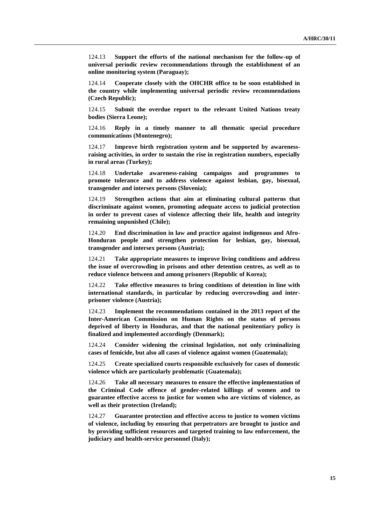124.13 **Support the efforts of the national mechanism for the follow-up of universal periodic review recommendations through the establishment of an online monitoring system (Paraguay);**

124.14 **Cooperate closely with the OHCHR office to be soon established in the country while implementing universal periodic review recommendations (Czech Republic);**

124.15 **Submit the overdue report to the relevant United Nations treaty bodies (Sierra Leone);**

124.16 **Reply in a timely manner to all thematic special procedure communications (Montenegro);**

124.17 **Improve birth registration system and be supported by awarenessraising activities, in order to sustain the rise in registration numbers, especially in rural areas (Turkey);**

124.18 **Undertake awareness-raising campaigns and programmes to promote tolerance and to address violence against lesbian, gay, bisexual, transgender and intersex persons (Slovenia);**

124.19 **Strengthen actions that aim at eliminating cultural patterns that discriminate against women, promoting adequate access to judicial protection in order to prevent cases of violence affecting their life, health and integrity remaining unpunished (Chile);**

124.20 **End discrimination in law and practice against indigenous and Afro-Honduran people and strengthen protection for lesbian, gay, bisexual, transgender and intersex persons (Austria);**

124.21 **Take appropriate measures to improve living conditions and address the issue of overcrowding in prisons and other detention centres, as well as to reduce violence between and among prisoners (Republic of Korea);**

124.22 **Take effective measures to bring conditions of detention in line with international standards, in particular by reducing overcrowding and interprisoner violence (Austria);**

124.23 **Implement the recommendations contained in the 2013 report of the Inter-American Commission on Human Rights on the status of persons deprived of liberty in Honduras, and that the national penitentiary policy is finalized and implemented accordingly (Denmark);**

124.24 **Consider widening the criminal legislation, not only criminalizing cases of femicide, but also all cases of violence against women (Guatemala);**

124.25 **Create specialized courts responsible exclusively for cases of domestic violence which are particularly problematic (Guatemala);**

124.26 **Take all necessary measures to ensure the effective implementation of the Criminal Code offence of gender-related killings of women and to guarantee effective access to justice for women who are victims of violence, as well as their protection (Ireland);**

124.27 **Guarantee protection and effective access to justice to women victims of violence, including by ensuring that perpetrators are brought to justice and by providing sufficient resources and targeted training to law enforcement, the judiciary and health-service personnel (Italy);**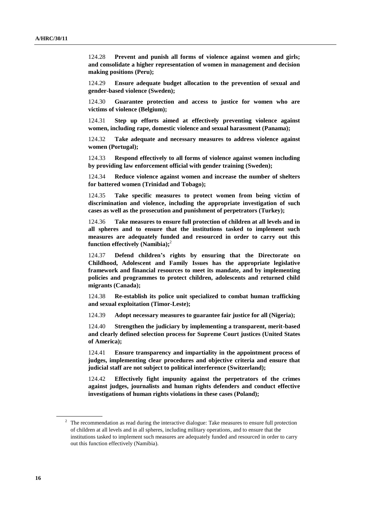124.28 **Prevent and punish all forms of violence against women and girls; and consolidate a higher representation of women in management and decision making positions (Peru);**

124.29 **Ensure adequate budget allocation to the prevention of sexual and gender-based violence (Sweden);**

124.30 **Guarantee protection and access to justice for women who are victims of violence (Belgium);**

124.31 **Step up efforts aimed at effectively preventing violence against women, including rape, domestic violence and sexual harassment (Panama);**

124.32 **Take adequate and necessary measures to address violence against women (Portugal);**

124.33 **Respond effectively to all forms of violence against women including by providing law enforcement official with gender training (Sweden);**

124.34 **Reduce violence against women and increase the number of shelters for battered women (Trinidad and Tobago);**

124.35 **Take specific measures to protect women from being victim of discrimination and violence, including the appropriate investigation of such cases as well as the prosecution and punishment of perpetrators (Turkey);**

124.36 **Take measures to ensure full protection of children at all levels and in all spheres and to ensure that the institutions tasked to implement such measures are adequately funded and resourced in order to carry out this function effectively (Namibia);** 2

124.37 **Defend children's rights by ensuring that the Directorate on Childhood, Adolescent and Family Issues has the appropriate legislative framework and financial resources to meet its mandate, and by implementing policies and programmes to protect children, adolescents and returned child migrants (Canada);**

124.38 **Re-establish its police unit specialized to combat human trafficking and sexual exploitation (Timor-Leste);**

124.39 **Adopt necessary measures to guarantee fair justice for all (Nigeria);**

124.40 **Strengthen the judiciary by implementing a transparent, merit-based and clearly defined selection process for Supreme Court justices (United States of America);**

124.41 **Ensure transparency and impartiality in the appointment process of judges, implementing clear procedures and objective criteria and ensure that judicial staff are not subject to political interference (Switzerland);**

124.42 **Effectively fight impunity against the perpetrators of the crimes against judges, journalists and human rights defenders and conduct effective investigations of human rights violations in these cases (Poland);**

 $2\degree$  The recommendation as read during the interactive dialogue: Take measures to ensure full protection of children at all levels and in all spheres, including military operations, and to ensure that the institutions tasked to implement such measures are adequately funded and resourced in order to carry out this function effectively (Namibia).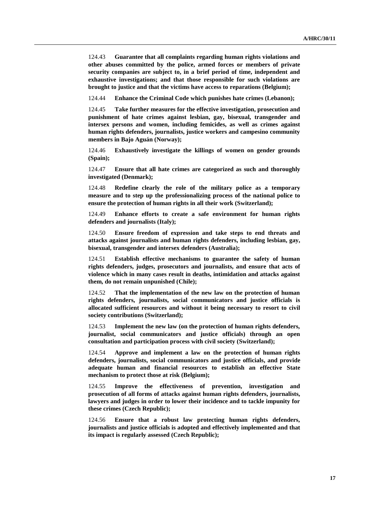124.43 **Guarantee that all complaints regarding human rights violations and other abuses committed by the police, armed forces or members of private security companies are subject to, in a brief period of time, independent and exhaustive investigations; and that those responsible for such violations are brought to justice and that the victims have access to reparations (Belgium);**

124.44 **Enhance the Criminal Code which punishes hate crimes (Lebanon);**

124.45 **Take further measures for the effective investigation, prosecution and punishment of hate crimes against lesbian, gay, bisexual, transgender and intersex persons and women, including femicides, as well as crimes against human rights defenders, journalists, justice workers and campesino community members in Bajo Aguán (Norway);**

124.46 **Exhaustively investigate the killings of women on gender grounds (Spain);**

124.47 **Ensure that all hate crimes are categorized as such and thoroughly investigated (Denmark);**

124.48 **Redefine clearly the role of the military police as a temporary measure and to step up the professionalizing process of the national police to ensure the protection of human rights in all their work (Switzerland);**

124.49 **Enhance efforts to create a safe environment for human rights defenders and journalists (Italy);**

124.50 **Ensure freedom of expression and take steps to end threats and attacks against journalists and human rights defenders, including lesbian, gay, bisexual, transgender and intersex defenders (Australia);**

124.51 **Establish effective mechanisms to guarantee the safety of human rights defenders, judges, prosecutors and journalists, and ensure that acts of violence which in many cases result in deaths, intimidation and attacks against them, do not remain unpunished (Chile);**

124.52 **That the implementation of the new law on the protection of human rights defenders, journalists, social communicators and justice officials is allocated sufficient resources and without it being necessary to resort to civil society contributions (Switzerland);** 

124.53 **Implement the new law (on the protection of human rights defenders, journalist, social communicators and justice officials) through an open consultation and participation process with civil society (Switzerland);**

124.54 **Approve and implement a law on the protection of human rights defenders, journalists, social communicators and justice officials, and provide adequate human and financial resources to establish an effective State mechanism to protect those at risk (Belgium);**

124.55 **Improve the effectiveness of prevention, investigation and prosecution of all forms of attacks against human rights defenders, journalists, lawyers and judges in order to lower their incidence and to tackle impunity for these crimes (Czech Republic);**

124.56 **Ensure that a robust law protecting human rights defenders, journalists and justice officials is adopted and effectively implemented and that its impact is regularly assessed (Czech Republic);**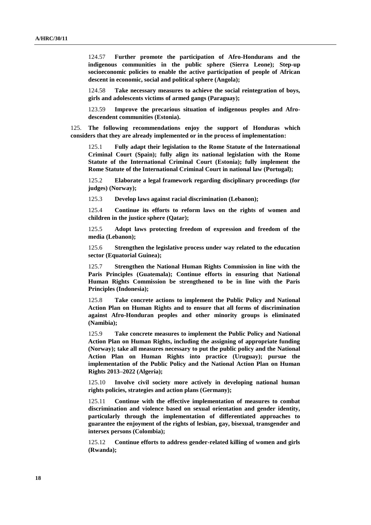124.57 **Further promote the participation of Afro-Hondurans and the indigenous communities in the public sphere (Sierra Leone); Step-up socioeconomic policies to enable the active participation of people of African descent in economic, social and political sphere (Angola);**

124.58 **Take necessary measures to achieve the social reintegration of boys, girls and adolescents victims of armed gangs (Paraguay);**

123.59 **Improve the precarious situation of indigenous peoples and Afrodescendent communities (Estonia).**

125. **The following recommendations enjoy the support of Honduras which considers that they are already implemented or in the process of implementation:**

125.1 **Fully adapt their legislation to the Rome Statute of the International Criminal Court (Spain); fully align its national legislation with the Rome Statute of the International Criminal Court (Estonia); fully implement the Rome Statute of the International Criminal Court in national law (Portugal);**

125.2 **Elaborate a legal framework regarding disciplinary proceedings (for judges) (Norway);**

125.3 **Develop laws against racial discrimination (Lebanon);**

125.4 **Continue its efforts to reform laws on the rights of women and children in the justice sphere (Qatar);**

125.5 **Adopt laws protecting freedom of expression and freedom of the media (Lebanon);**

125.6 **Strengthen the legislative process under way related to the education sector (Equatorial Guinea);**

125.7 **Strengthen the National Human Rights Commission in line with the Paris Principles (Guatemala); Continue efforts in ensuring that National Human Rights Commission be strengthened to be in line with the Paris Principles (Indonesia);**

125.8 **Take concrete actions to implement the Public Policy and National Action Plan on Human Rights and to ensure that all forms of discrimination against Afro-Honduran peoples and other minority groups is eliminated (Namibia);**

125.9 **Take concrete measures to implement the Public Policy and National Action Plan on Human Rights, including the assigning of appropriate funding (Norway); take all measures necessary to put the public policy and the National Action Plan on Human Rights into practice (Uruguay); pursue the implementation of the Public Policy and the National Action Plan on Human Rights 2013–2022 (Algeria);**

125.10 **Involve civil society more actively in developing national human rights policies, strategies and action plans (Germany);**

125.11 **Continue with the effective implementation of measures to combat discrimination and violence based on sexual orientation and gender identity, particularly through the implementation of differentiated approaches to guarantee the enjoyment of the rights of lesbian, gay, bisexual, transgender and intersex persons (Colombia);**

125.12 **Continue efforts to address gender-related killing of women and girls (Rwanda);**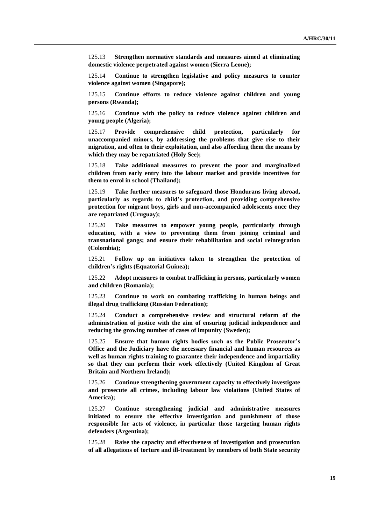125.13 **Strengthen normative standards and measures aimed at eliminating domestic violence perpetrated against women (Sierra Leone);**

125.14 **Continue to strengthen legislative and policy measures to counter violence against women (Singapore);**

125.15 **Continue efforts to reduce violence against children and young persons (Rwanda);**

125.16 **Continue with the policy to reduce violence against children and young people (Algeria);**

125.17 **Provide comprehensive child protection, particularly for unaccompanied minors, by addressing the problems that give rise to their migration, and often to their exploitation, and also affording them the means by which they may be repatriated (Holy See);**

125.18 **Take additional measures to prevent the poor and marginalized children from early entry into the labour market and provide incentives for them to enrol in school (Thailand);**

125.19 **Take further measures to safeguard those Hondurans living abroad, particularly as regards to child's protection, and providing comprehensive protection for migrant boys, girls and non-accompanied adolescents once they are repatriated (Uruguay);** 

125.20 **Take measures to empower young people, particularly through education, with a view to preventing them from joining criminal and transnational gangs; and ensure their rehabilitation and social reintegration (Colombia);**

125.21 **Follow up on initiatives taken to strengthen the protection of children's rights (Equatorial Guinea);**

125.22 **Adopt measures to combat trafficking in persons, particularly women and children (Romania);**

125.23 **Continue to work on combating trafficking in human beings and illegal drug trafficking (Russian Federation);**

125.24 **Conduct a comprehensive review and structural reform of the administration of justice with the aim of ensuring judicial independence and reducing the growing number of cases of impunity (Sweden);**

125.25 **Ensure that human rights bodies such as the Public Prosecutor's Office and the Judiciary have the necessary financial and human resources as well as human rights training to guarantee their independence and impartiality so that they can perform their work effectively (United Kingdom of Great Britain and Northern Ireland);**

125.26 **Continue strengthening government capacity to effectively investigate and prosecute all crimes, including labour law violations (United States of America);**

125.27 **Continue strengthening judicial and administrative measures initiated to ensure the effective investigation and punishment of those responsible for acts of violence, in particular those targeting human rights defenders (Argentina);**

125.28 **Raise the capacity and effectiveness of investigation and prosecution of all allegations of torture and ill-treatment by members of both State security**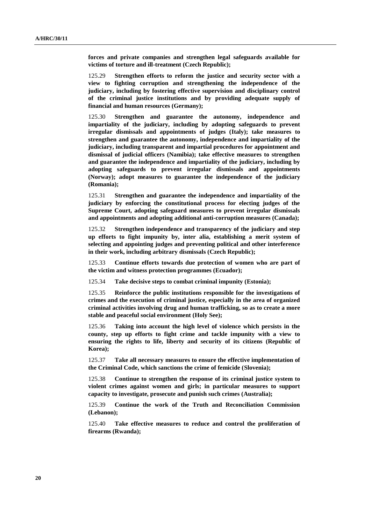**forces and private companies and strengthen legal safeguards available for victims of torture and ill-treatment (Czech Republic);**

125.29 **Strengthen efforts to reform the justice and security sector with a view to fighting corruption and strengthening the independence of the judiciary, including by fostering effective supervision and disciplinary control of the criminal justice institutions and by providing adequate supply of financial and human resources (Germany);**

125.30 **Strengthen and guarantee the autonomy, independence and impartiality of the judiciary, including by adopting safeguards to prevent irregular dismissals and appointments of judges (Italy); take measures to strengthen and guarantee the autonomy, independence and impartiality of the judiciary, including transparent and impartial procedures for appointment and dismissal of judicial officers (Namibia); take effective measures to strengthen and guarantee the independence and impartiality of the judiciary, including by adopting safeguards to prevent irregular dismissals and appointments (Norway); adopt measures to guarantee the independence of the judiciary (Romania);**

125.31 **Strengthen and guarantee the independence and impartiality of the judiciary by enforcing the constitutional process for electing judges of the Supreme Court, adopting safeguard measures to prevent irregular dismissals and appointments and adopting additional anti-corruption measures (Canada);**

125.32 **Strengthen independence and transparency of the judiciary and step up efforts to fight impunity by, inter alia, establishing a merit system of selecting and appointing judges and preventing political and other interference in their work, including arbitrary dismissals (Czech Republic);**

125.33 **Continue efforts towards due protection of women who are part of the victim and witness protection programmes (Ecuador);**

125.34 **Take decisive steps to combat criminal impunity (Estonia);**

125.35 **Reinforce the public institutions responsible for the investigations of crimes and the execution of criminal justice, especially in the area of organized criminal activities involving drug and human trafficking, so as to create a more stable and peaceful social environment (Holy See);**

125.36 **Taking into account the high level of violence which persists in the county, step up efforts to fight crime and tackle impunity with a view to ensuring the rights to life, liberty and security of its citizens (Republic of Korea);**

125.37 **Take all necessary measures to ensure the effective implementation of the Criminal Code, which sanctions the crime of femicide (Slovenia);**

125.38 **Continue to strengthen the response of its criminal justice system to violent crimes against women and girls; in particular measures to support capacity to investigate, prosecute and punish such crimes (Australia);**

125.39 **Continue the work of the Truth and Reconciliation Commission (Lebanon);**

125.40 **Take effective measures to reduce and control the proliferation of firearms (Rwanda);**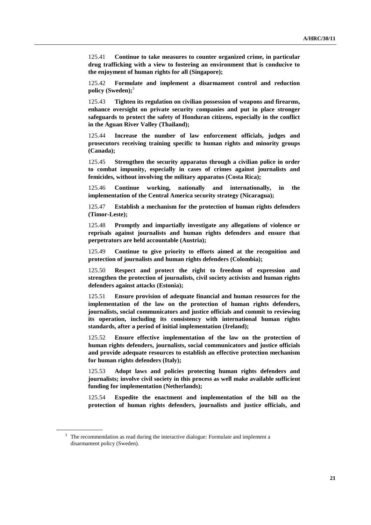125.41 **Continue to take measures to counter organized crime, in particular drug trafficking with a view to fostering an environment that is conducive to the enjoyment of human rights for all (Singapore);**

125.42 **Formulate and implement a disarmament control and reduction policy (Sweden);** 3

125.43 **Tighten its regulation on civilian possession of weapons and firearms, enhance oversight on private security companies and put in place stronger safeguards to protect the safety of Honduran citizens, especially in the conflict in the Aguan River Valley (Thailand);**

125.44 **Increase the number of law enforcement officials, judges and prosecutors receiving training specific to human rights and minority groups (Canada);**

125.45 **Strengthen the security apparatus through a civilian police in order to combat impunity, especially in cases of crimes against journalists and femicides, without involving the military apparatus (Costa Rica);**

125.46 **Continue working, nationally and internationally, in the implementation of the Central America security strategy (Nicaragua);**

125.47 **Establish a mechanism for the protection of human rights defenders (Timor-Leste);**

125.48 **Promptly and impartially investigate any allegations of violence or reprisals against journalists and human rights defenders and ensure that perpetrators are held accountable (Austria);**

125.49 **Continue to give priority to efforts aimed at the recognition and protection of journalists and human rights defenders (Colombia);**

125.50 **Respect and protect the right to freedom of expression and strengthen the protection of journalists, civil society activists and human rights defenders against attacks (Estonia);**

125.51 **Ensure provision of adequate financial and human resources for the implementation of the law on the protection of human rights defenders, journalists, social communicators and justice officials and commit to reviewing its operation, including its consistency with international human rights standards, after a period of initial implementation (Ireland);**

125.52 **Ensure effective implementation of the law on the protection of human rights defenders, journalists, social communicators and justice officials and provide adequate resources to establish an effective protection mechanism for human rights defenders (Italy);**

125.53 **Adopt laws and policies protecting human rights defenders and journalists; involve civil society in this process as well make available sufficient funding for implementation (Netherlands);**

125.54 **Expedite the enactment and implementation of the bill on the protection of human rights defenders, journalists and justice officials, and** 

<sup>&</sup>lt;sup>3</sup> The recommendation as read during the interactive dialogue: Formulate and implement a disarmament policy (Sweden).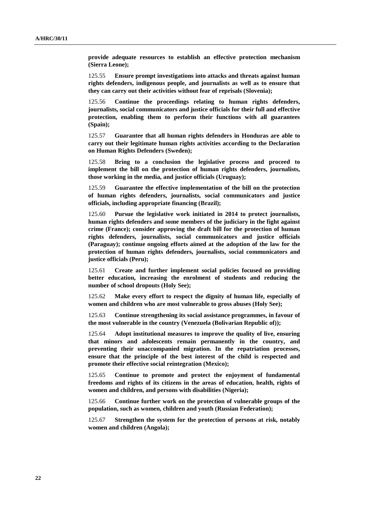**provide adequate resources to establish an effective protection mechanism (Sierra Leone);**

125.55 **Ensure prompt investigations into attacks and threats against human rights defenders, indigenous people, and journalists as well as to ensure that they can carry out their activities without fear of reprisals (Slovenia);**

125.56 **Continue the proceedings relating to human rights defenders, journalists, social communicators and justice officials for their full and effective protection, enabling them to perform their functions with all guarantees (Spain);**

125.57 **Guarantee that all human rights defenders in Honduras are able to carry out their legitimate human rights activities according to the Declaration on Human Rights Defenders (Sweden);**

125.58 **Bring to a conclusion the legislative process and proceed to implement the bill on the protection of human rights defenders, journalists, those working in the media, and justice officials (Uruguay);**

125.59 **Guarantee the effective implementation of the bill on the protection of human rights defenders, journalists, social communicators and justice officials, including appropriate financing (Brazil);**

125.60 **Pursue the legislative work initiated in 2014 to protect journalists, human rights defenders and some members of the judiciary in the fight against crime (France); consider approving the draft bill for the protection of human rights defenders, journalists, social communicators and justice officials (Paraguay); continue ongoing efforts aimed at the adoption of the law for the protection of human rights defenders, journalists, social communicators and justice officials (Peru);**

125.61 **Create and further implement social policies focused on providing better education, increasing the enrolment of students and reducing the number of school dropouts (Holy See);**

125.62 **Make every effort to respect the dignity of human life, especially of women and children who are most vulnerable to gross abuses (Holy See);**

125.63 **Continue strengthening its social assistance programmes, in favour of the most vulnerable in the country (Venezuela (Bolivarian Republic of));**

125.64 **Adopt institutional measures to improve the quality of live, ensuring that minors and adolescents remain permanently in the country, and preventing their unaccompanied migration. In the repatriation processes, ensure that the principle of the best interest of the child is respected and promote their effective social reintegration (Mexico);**

125.65 **Continue to promote and protect the enjoyment of fundamental freedoms and rights of its citizens in the areas of education, health, rights of women and children, and persons with disabilities (Nigeria);**

125.66 **Continue further work on the protection of vulnerable groups of the population, such as women, children and youth (Russian Federation);**

125.67 **Strengthen the system for the protection of persons at risk, notably women and children (Angola);**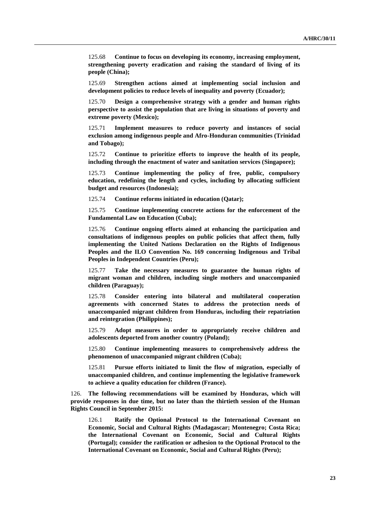125.68 **Continue to focus on developing its economy, increasing employment, strengthening poverty eradication and raising the standard of living of its people (China);**

125.69 **Strengthen actions aimed at implementing social inclusion and development policies to reduce levels of inequality and poverty (Ecuador);**

125.70 **Design a comprehensive strategy with a gender and human rights perspective to assist the population that are living in situations of poverty and extreme poverty (Mexico);**

125.71 **Implement measures to reduce poverty and instances of social exclusion among indigenous people and Afro-Honduran communities (Trinidad and Tobago);**

125.72 **Continue to prioritize efforts to improve the health of its people, including through the enactment of water and sanitation services (Singapore);**

125.73 **Continue implementing the policy of free, public, compulsory education, redefining the length and cycles, including by allocating sufficient budget and resources (Indonesia);**

125.74 **Continue reforms initiated in education (Qatar);**

125.75 **Continue implementing concrete actions for the enforcement of the Fundamental Law on Education (Cuba);**

125.76 **Continue ongoing efforts aimed at enhancing the participation and consultations of indigenous peoples on public policies that affect them, fully implementing the United Nations Declaration on the Rights of Indigenous Peoples and the ILO Convention No. 169 concerning Indigenous and Tribal Peoples in Independent Countries (Peru);**

125.77 **Take the necessary measures to guarantee the human rights of migrant woman and children, including single mothers and unaccompanied children (Paraguay);**

125.78 **Consider entering into bilateral and multilateral cooperation agreements with concerned States to address the protection needs of unaccompanied migrant children from Honduras, including their repatriation and reintegration (Philippines);**

125.79 **Adopt measures in order to appropriately receive children and adolescents deported from another country (Poland);**

125.80 **Continue implementing measures to comprehensively address the phenomenon of unaccompanied migrant children (Cuba);**

125.81 **Pursue efforts initiated to limit the flow of migration, especially of unaccompanied children, and continue implementing the legislative framework to achieve a quality education for children (France).**

126. **The following recommendations will be examined by Honduras, which will provide responses in due time, but no later than the thirtieth session of the Human Rights Council in September 2015:**

126.1 **Ratify the Optional Protocol to the International Covenant on Economic, Social and Cultural Rights (Madagascar; Montenegro; Costa Rica; the International Covenant on Economic, Social and Cultural Rights (Portugal); consider the ratification or adhesion to the Optional Protocol to the International Covenant on Economic, Social and Cultural Rights (Peru);**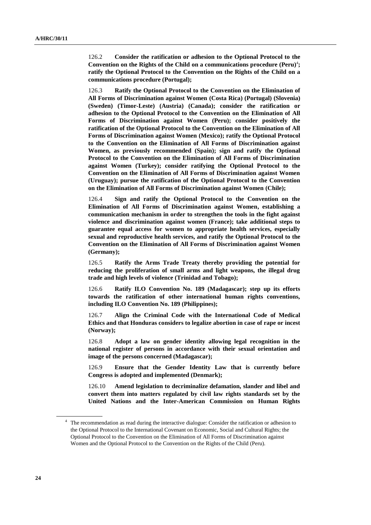126.2 **Consider the ratification or adhesion to the Optional Protocol to the Convention on the Rights of the Child on a communications procedure (Peru)** 4 **; ratify the Optional Protocol to the Convention on the Rights of the Child on a communications procedure (Portugal);**

126.3 **Ratify the Optional Protocol to the Convention on the Elimination of All Forms of Discrimination against Women (Costa Rica) (Portugal) (Slovenia) (Sweden) (Timor-Leste) (Austria) (Canada); consider the ratification or adhesion to the Optional Protocol to the Convention on the Elimination of All Forms of Discrimination against Women (Peru); consider positively the ratification of the Optional Protocol to the Convention on the Elimination of All Forms of Discrimination against Women (Mexico); ratify the Optional Protocol to the Convention on the Elimination of All Forms of Discrimination against Women, as previously recommended (Spain); sign and ratify the Optional Protocol to the Convention on the Elimination of All Forms of Discrimination against Women (Turkey); consider ratifying the Optional Protocol to the Convention on the Elimination of All Forms of Discrimination against Women (Uruguay); pursue the ratification of the Optional Protocol to the Convention on the Elimination of All Forms of Discrimination against Women (Chile);**

126.4 **Sign and ratify the Optional Protocol to the Convention on the Elimination of All Forms of Discrimination against Women, establishing a communication mechanism in order to strengthen the tools in the fight against violence and discrimination against women (France); take additional steps to guarantee equal access for women to appropriate health services, especially sexual and reproductive health services, and ratify the Optional Protocol to the Convention on the Elimination of All Forms of Discrimination against Women (Germany);**

126.5 **Ratify the Arms Trade Treaty thereby providing the potential for reducing the proliferation of small arms and light weapons, the illegal drug trade and high levels of violence (Trinidad and Tobago);**

126.6 **Ratify ILO Convention No. 189 (Madagascar); step up its efforts towards the ratification of other international human rights conventions, including ILO Convention No. 189 (Philippines);**

126.7 **Align the Criminal Code with the International Code of Medical Ethics and that Honduras considers to legalize abortion in case of rape or incest (Norway);**

126.8 **Adopt a law on gender identity allowing legal recognition in the national register of persons in accordance with their sexual orientation and image of the persons concerned (Madagascar);**

126.9 **Ensure that the Gender Identity Law that is currently before Congress is adopted and implemented (Denmark);**

126.10 **Amend legislation to decriminalize defamation, slander and libel and convert them into matters regulated by civil law rights standards set by the United Nations and the Inter-American Commission on Human Rights** 

<sup>&</sup>lt;sup>4</sup> The recommendation as read during the interactive dialogue: Consider the ratification or adhesion to the Optional Protocol to the International Covenant on Economic, Social and Cultural Rights; the Optional Protocol to the Convention on the Elimination of All Forms of Discrimination against Women and the Optional Protocol to the Convention on the Rights of the Child (Peru).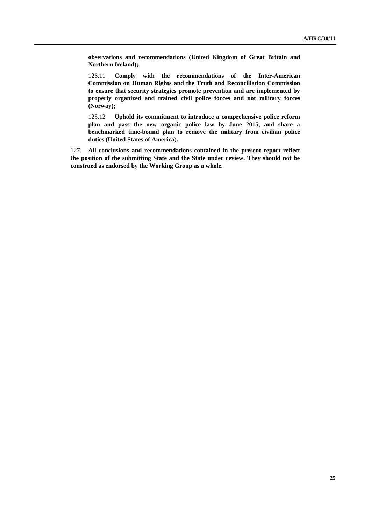**observations and recommendations (United Kingdom of Great Britain and Northern Ireland);**

126.11 **Comply with the recommendations of the Inter-American Commission on Human Rights and the Truth and Reconciliation Commission to ensure that security strategies promote prevention and are implemented by properly organized and trained civil police forces and not military forces (Norway);**

125.12 **Uphold its commitment to introduce a comprehensive police reform plan and pass the new organic police law by June 2015, and share a benchmarked time-bound plan to remove the military from civilian police duties (United States of America).**

127. **All conclusions and recommendations contained in the present report reflect the position of the submitting State and the State under review. They should not be construed as endorsed by the Working Group as a whole.**